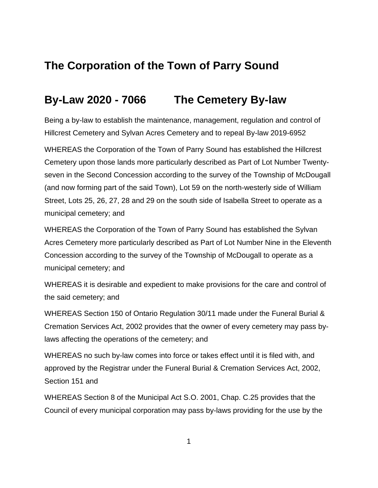## **The Corporation of the Town of Parry Sound**

## **By-Law 2020 - 7066 The Cemetery By-law**

Being a by-law to establish the maintenance, management, regulation and control of Hillcrest Cemetery and Sylvan Acres Cemetery and to repeal By-law 2019-6952

WHEREAS the Corporation of the Town of Parry Sound has established the Hillcrest Cemetery upon those lands more particularly described as Part of Lot Number Twentyseven in the Second Concession according to the survey of the Township of McDougall (and now forming part of the said Town), Lot 59 on the north-westerly side of William Street, Lots 25, 26, 27, 28 and 29 on the south side of Isabella Street to operate as a municipal cemetery; and

WHEREAS the Corporation of the Town of Parry Sound has established the Sylvan Acres Cemetery more particularly described as Part of Lot Number Nine in the Eleventh Concession according to the survey of the Township of McDougall to operate as a municipal cemetery; and

WHEREAS it is desirable and expedient to make provisions for the care and control of the said cemetery; and

WHEREAS Section 150 of Ontario Regulation 30/11 made under the Funeral Burial & Cremation Services Act, 2002 provides that the owner of every cemetery may pass bylaws affecting the operations of the cemetery; and

WHEREAS no such by-law comes into force or takes effect until it is filed with, and approved by the Registrar under the Funeral Burial & Cremation Services Act, 2002, Section 151 and

WHEREAS Section 8 of the Municipal Act S.O. 2001, Chap. C.25 provides that the Council of every municipal corporation may pass by-laws providing for the use by the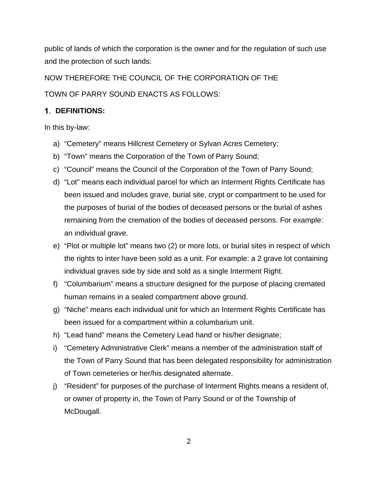public of lands of which the corporation is the owner and for the regulation of such use and the protection of such lands:

NOW THEREFORE THE COUNCIL OF THE CORPORATION OF THE TOWN OF PARRY SOUND ENACTS AS FOLLOWS:

### **DEFINITIONS:**

In this by-law:

- a) "Cemetery" means Hillcrest Cemetery or Sylvan Acres Cemetery;
- b) "Town" means the Corporation of the Town of Parry Sound;
- c) "Council" means the Council of the Corporation of the Town of Parry Sound;
- d) "Lot" means each individual parcel for which an Interment Rights Certificate has been issued and includes grave, burial site, crypt or compartment to be used for the purposes of burial of the bodies of deceased persons or the burial of ashes remaining from the cremation of the bodies of deceased persons. For example: an individual grave.
- e) "Plot or multiple lot" means two (2) or more lots, or burial sites in respect of which the rights to inter have been sold as a unit. For example: a 2 grave lot containing individual graves side by side and sold as a single Interment Right.
- f) "Columbarium" means a structure designed for the purpose of placing cremated human remains in a sealed compartment above ground.
- g) "Niche" means each individual unit for which an Interment Rights Certificate has been issued for a compartment within a columbarium unit.
- h) "Lead hand" means the Cemetery Lead hand or his/her designate;
- i) "Cemetery Administrative Clerk" means a member of the administration staff of the Town of Parry Sound that has been delegated responsibility for administration of Town cemeteries or her/his designated alternate.
- j) "Resident" for purposes of the purchase of Interment Rights means a resident of, or owner of property in, the Town of Parry Sound or of the Township of McDougall.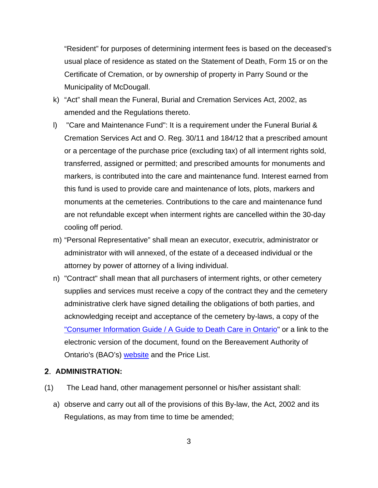"Resident" for purposes of determining interment fees is based on the deceased's usual place of residence as stated on the Statement of Death, Form 15 or on the Certificate of Cremation, or by ownership of property in Parry Sound or the Municipality of McDougall.

- k) "Act" shall mean the Funeral, Burial and Cremation Services Act, 2002, as amended and the Regulations thereto.
- l) "Care and Maintenance Fund": It is a requirement under the Funeral Burial & Cremation Services Act and O. Reg. 30/11 and 184/12 that a prescribed amount or a percentage of the purchase price (excluding tax) of all interment rights sold, transferred, assigned or permitted; and prescribed amounts for monuments and markers, is contributed into the care and maintenance fund. Interest earned from this fund is used to provide care and maintenance of lots, plots, markers and monuments at the cemeteries. Contributions to the care and maintenance fund are not refundable except when interment rights are cancelled within the 30-day cooling off period.
- m) "Personal Representative" shall mean an executor, executrix, administrator or administrator with will annexed, of the estate of a deceased individual or the attorney by power of attorney of a living individual.
- n) "Contract" shall mean that all purchasers of interment rights, or other cemetery supplies and services must receive a copy of the contract they and the cemetery administrative clerk have signed detailing the obligations of both parties, and acknowledging receipt and acceptance of the cemetery by-laws, a copy of the "Consumer Information Guide [/ A Guide to Death Care in Ontario"](https://thebao.ca/for-professionals/order-consumer-information-guide/) or a link to the electronic version of the document, found on the Bereavement Authority of Ontario's (BAO's) [website](https://thebao.us8.list-manage.com/track/click?u=e76b9d150bf1f80bbba039174&id=ac0e95d05c&e=41f27fc1b2) and the Price List.

#### **ADMINISTRATION:**

- (1) The Lead hand, other management personnel or his/her assistant shall:
	- a) observe and carry out all of the provisions of this By-law, the Act, 2002 and its Regulations, as may from time to time be amended;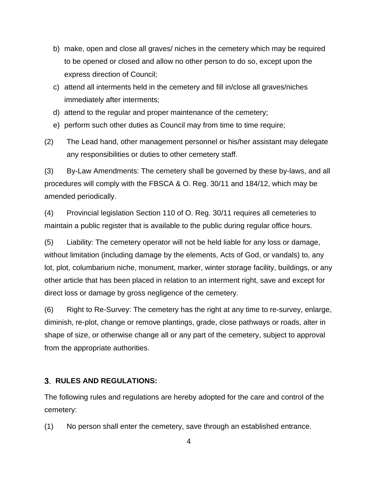- b) make, open and close all graves/ niches in the cemetery which may be required to be opened or closed and allow no other person to do so, except upon the express direction of Council;
- c) attend all interments held in the cemetery and fill in/close all graves/niches immediately after interments;
- d) attend to the regular and proper maintenance of the cemetery;
- e) perform such other duties as Council may from time to time require;
- (2) The Lead hand, other management personnel or his/her assistant may delegate any responsibilities or duties to other cemetery staff.

(3) By-Law Amendments: The cemetery shall be governed by these by-laws, and all procedures will comply with the FBSCA & O. Reg. 30/11 and 184/12, which may be amended periodically.

(4) Provincial legislation Section 110 of O. Reg. 30/11 requires all cemeteries to maintain a public register that is available to the public during regular office hours.

(5) Liability: The cemetery operator will not be held liable for any loss or damage, without limitation (including damage by the elements, Acts of God, or vandals) to, any lot, plot, columbarium niche, monument, marker, winter storage facility, buildings, or any other article that has been placed in relation to an interment right, save and except for direct loss or damage by gross negligence of the cemetery.

(6) Right to Re-Survey: The cemetery has the right at any time to re-survey, enlarge, diminish, re-plot, change or remove plantings, grade, close pathways or roads, alter in shape of size, or otherwise change all or any part of the cemetery, subject to approval from the appropriate authorities.

#### **RULES AND REGULATIONS:**

The following rules and regulations are hereby adopted for the care and control of the cemetery:

(1) No person shall enter the cemetery, save through an established entrance.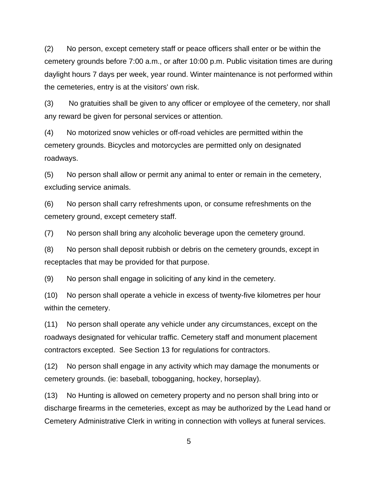(2) No person, except cemetery staff or peace officers shall enter or be within the cemetery grounds before 7:00 a.m., or after 10:00 p.m. Public visitation times are during daylight hours 7 days per week, year round. Winter maintenance is not performed within the cemeteries, entry is at the visitors' own risk.

(3) No gratuities shall be given to any officer or employee of the cemetery, nor shall any reward be given for personal services or attention.

(4) No motorized snow vehicles or off-road vehicles are permitted within the cemetery grounds. Bicycles and motorcycles are permitted only on designated roadways.

(5) No person shall allow or permit any animal to enter or remain in the cemetery, excluding service animals.

(6) No person shall carry refreshments upon, or consume refreshments on the cemetery ground, except cemetery staff.

(7) No person shall bring any alcoholic beverage upon the cemetery ground.

(8) No person shall deposit rubbish or debris on the cemetery grounds, except in receptacles that may be provided for that purpose.

(9) No person shall engage in soliciting of any kind in the cemetery.

(10) No person shall operate a vehicle in excess of twenty-five kilometres per hour within the cemetery.

(11) No person shall operate any vehicle under any circumstances, except on the roadways designated for vehicular traffic. Cemetery staff and monument placement contractors excepted. See Section 13 for regulations for contractors.

(12) No person shall engage in any activity which may damage the monuments or cemetery grounds. (ie: baseball, tobogganing, hockey, horseplay).

(13) No Hunting is allowed on cemetery property and no person shall bring into or discharge firearms in the cemeteries, except as may be authorized by the Lead hand or Cemetery Administrative Clerk in writing in connection with volleys at funeral services.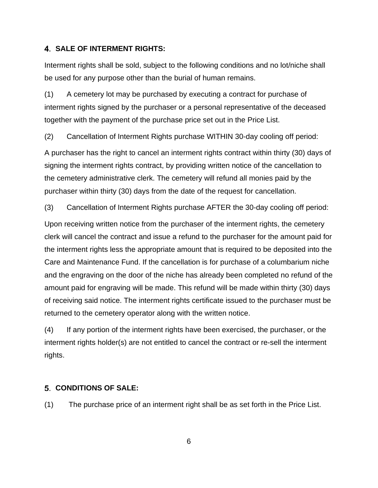#### **SALE OF INTERMENT RIGHTS:**

Interment rights shall be sold, subject to the following conditions and no lot/niche shall be used for any purpose other than the burial of human remains.

(1) A cemetery lot may be purchased by executing a contract for purchase of interment rights signed by the purchaser or a personal representative of the deceased together with the payment of the purchase price set out in the Price List.

(2) Cancellation of Interment Rights purchase WITHIN 30-day cooling off period:

A purchaser has the right to cancel an interment rights contract within thirty (30) days of signing the interment rights contract, by providing written notice of the cancellation to the cemetery administrative clerk. The cemetery will refund all monies paid by the purchaser within thirty (30) days from the date of the request for cancellation.

(3) Cancellation of Interment Rights purchase AFTER the 30-day cooling off period:

Upon receiving written notice from the purchaser of the interment rights, the cemetery clerk will cancel the contract and issue a refund to the purchaser for the amount paid for the interment rights less the appropriate amount that is required to be deposited into the Care and Maintenance Fund. If the cancellation is for purchase of a columbarium niche and the engraving on the door of the niche has already been completed no refund of the amount paid for engraving will be made. This refund will be made within thirty (30) days of receiving said notice. The interment rights certificate issued to the purchaser must be returned to the cemetery operator along with the written notice.

(4) If any portion of the interment rights have been exercised, the purchaser, or the interment rights holder(s) are not entitled to cancel the contract or re-sell the interment rights.

#### **CONDITIONS OF SALE:**

(1) The purchase price of an interment right shall be as set forth in the Price List.

6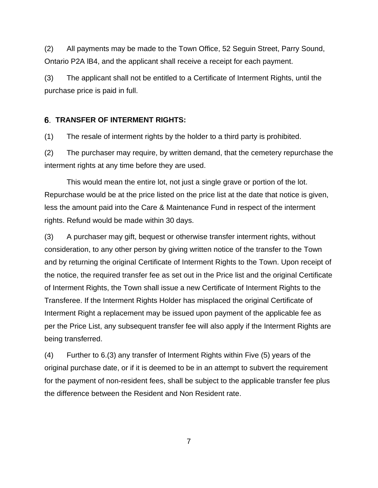(2) All payments may be made to the Town Office, 52 Seguin Street, Parry Sound, Ontario P2A lB4, and the applicant shall receive a receipt for each payment.

(3) The applicant shall not be entitled to a Certificate of Interment Rights, until the purchase price is paid in full.

#### **TRANSFER OF INTERMENT RIGHTS:**

(1) The resale of interment rights by the holder to a third party is prohibited.

(2) The purchaser may require, by written demand, that the cemetery repurchase the interment rights at any time before they are used.

This would mean the entire lot, not just a single grave or portion of the lot. Repurchase would be at the price listed on the price list at the date that notice is given, less the amount paid into the Care & Maintenance Fund in respect of the interment rights. Refund would be made within 30 days.

(3) A purchaser may gift, bequest or otherwise transfer interment rights, without consideration, to any other person by giving written notice of the transfer to the Town and by returning the original Certificate of Interment Rights to the Town. Upon receipt of the notice, the required transfer fee as set out in the Price list and the original Certificate of Interment Rights, the Town shall issue a new Certificate of Interment Rights to the Transferee. If the Interment Rights Holder has misplaced the original Certificate of Interment Right a replacement may be issued upon payment of the applicable fee as per the Price List, any subsequent transfer fee will also apply if the Interment Rights are being transferred.

(4) Further to 6.(3) any transfer of Interment Rights within Five (5) years of the original purchase date, or if it is deemed to be in an attempt to subvert the requirement for the payment of non-resident fees, shall be subject to the applicable transfer fee plus the difference between the Resident and Non Resident rate.

7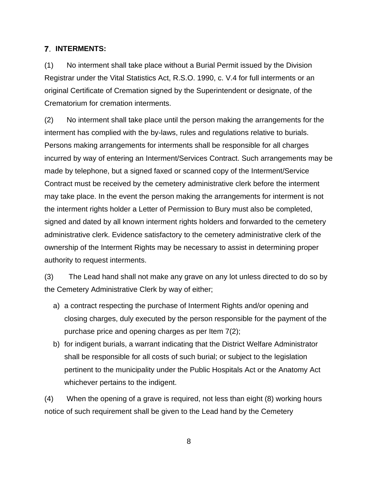#### **INTERMENTS:**

(1) No interment shall take place without a Burial Permit issued by the Division Registrar under the Vital Statistics Act, R.S.O. 1990, c. V.4 for full interments or an original Certificate of Cremation signed by the Superintendent or designate, of the Crematorium for cremation interments.

(2) No interment shall take place until the person making the arrangements for the interment has complied with the by-laws, rules and regulations relative to burials. Persons making arrangements for interments shall be responsible for all charges incurred by way of entering an Interment/Services Contract. Such arrangements may be made by telephone, but a signed faxed or scanned copy of the Interment/Service Contract must be received by the cemetery administrative clerk before the interment may take place. In the event the person making the arrangements for interment is not the interment rights holder a Letter of Permission to Bury must also be completed, signed and dated by all known interment rights holders and forwarded to the cemetery administrative clerk. Evidence satisfactory to the cemetery administrative clerk of the ownership of the Interment Rights may be necessary to assist in determining proper authority to request interments.

(3) The Lead hand shall not make any grave on any lot unless directed to do so by the Cemetery Administrative Clerk by way of either;

- a) a contract respecting the purchase of Interment Rights and/or opening and closing charges, duly executed by the person responsible for the payment of the purchase price and opening charges as per Item 7(2);
- b) for indigent burials, a warrant indicating that the District Welfare Administrator shall be responsible for all costs of such burial; or subject to the legislation pertinent to the municipality under the Public Hospitals Act or the Anatomy Act whichever pertains to the indigent.

(4) When the opening of a grave is required, not less than eight (8) working hours notice of such requirement shall be given to the Lead hand by the Cemetery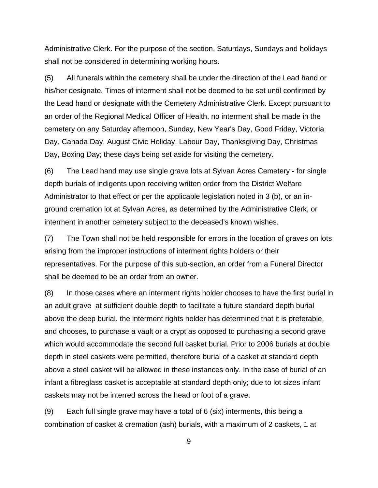Administrative Clerk. For the purpose of the section, Saturdays, Sundays and holidays shall not be considered in determining working hours.

(5) All funerals within the cemetery shall be under the direction of the Lead hand or his/her designate. Times of interment shall not be deemed to be set until confirmed by the Lead hand or designate with the Cemetery Administrative Clerk. Except pursuant to an order of the Regional Medical Officer of Health, no interment shall be made in the cemetery on any Saturday afternoon, Sunday, New Year's Day, Good Friday, Victoria Day, Canada Day, August Civic Holiday, Labour Day, Thanksgiving Day, Christmas Day, Boxing Day; these days being set aside for visiting the cemetery.

(6) The Lead hand may use single grave lots at Sylvan Acres Cemetery - for single depth burials of indigents upon receiving written order from the District Welfare Administrator to that effect or per the applicable legislation noted in 3 (b), or an inground cremation lot at Sylvan Acres, as determined by the Administrative Clerk, or interment in another cemetery subject to the deceased's known wishes.

(7) The Town shall not be held responsible for errors in the location of graves on lots arising from the improper instructions of interment rights holders or their representatives. For the purpose of this sub-section, an order from a Funeral Director shall be deemed to be an order from an owner.

(8) In those cases where an interment rights holder chooses to have the first burial in an adult grave at sufficient double depth to facilitate a future standard depth burial above the deep burial, the interment rights holder has determined that it is preferable, and chooses, to purchase a vault or a crypt as opposed to purchasing a second grave which would accommodate the second full casket burial. Prior to 2006 burials at double depth in steel caskets were permitted, therefore burial of a casket at standard depth above a steel casket will be allowed in these instances only. In the case of burial of an infant a fibreglass casket is acceptable at standard depth only; due to lot sizes infant caskets may not be interred across the head or foot of a grave.

(9) Each full single grave may have a total of 6 (six) interments, this being a combination of casket & cremation (ash) burials, with a maximum of 2 caskets, 1 at

9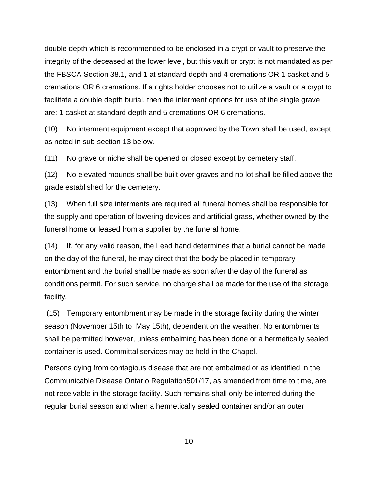double depth which is recommended to be enclosed in a crypt or vault to preserve the integrity of the deceased at the lower level, but this vault or crypt is not mandated as per the FBSCA Section 38.1, and 1 at standard depth and 4 cremations OR 1 casket and 5 cremations OR 6 cremations. If a rights holder chooses not to utilize a vault or a crypt to facilitate a double depth burial, then the interment options for use of the single grave are: 1 casket at standard depth and 5 cremations OR 6 cremations.

(10) No interment equipment except that approved by the Town shall be used, except as noted in sub-section 13 below.

(11) No grave or niche shall be opened or closed except by cemetery staff.

(12) No elevated mounds shall be built over graves and no lot shall be filled above the grade established for the cemetery.

(13) When full size interments are required all funeral homes shall be responsible for the supply and operation of lowering devices and artificial grass, whether owned by the funeral home or leased from a supplier by the funeral home.

(14) If, for any valid reason, the Lead hand determines that a burial cannot be made on the day of the funeral, he may direct that the body be placed in temporary entombment and the burial shall be made as soon after the day of the funeral as conditions permit. For such service, no charge shall be made for the use of the storage facility.

(15) Temporary entombment may be made in the storage facility during the winter season (November 15th to May 15th), dependent on the weather. No entombments shall be permitted however, unless embalming has been done or a hermetically sealed container is used. Committal services may be held in the Chapel.

Persons dying from contagious disease that are not embalmed or as identified in the Communicable Disease Ontario Regulation501/17, as amended from time to time, are not receivable in the storage facility. Such remains shall only be interred during the regular burial season and when a hermetically sealed container and/or an outer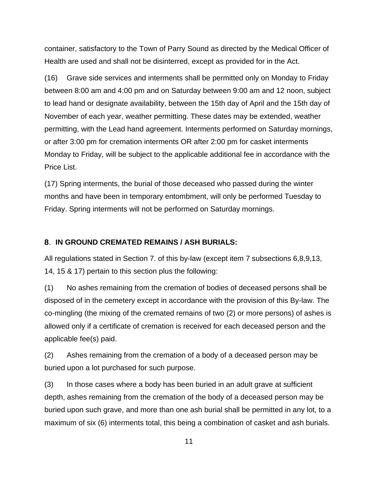container, satisfactory to the Town of Parry Sound as directed by the Medical Officer of Health are used and shall not be disinterred, except as provided for in the Act.

(16) Grave side services and interments shall be permitted only on Monday to Friday between 8:00 am and 4:00 pm and on Saturday between 9:00 am and 12 noon, subject to lead hand or designate availability, between the 15th day of April and the 15th day of November of each year, weather permitting. These dates may be extended, weather permitting, with the Lead hand agreement. Interments performed on Saturday mornings, or after 3:00 pm for cremation interments OR after 2:00 pm for casket interments Monday to Friday, will be subject to the applicable additional fee in accordance with the Price List.

(17) Spring interments, the burial of those deceased who passed during the winter months and have been in temporary entombment, will only be performed Tuesday to Friday. Spring interments will not be performed on Saturday mornings.

#### **IN GROUND CREMATED REMAINS / ASH BURIALS:**

All regulations stated in Section 7. of this by-law (except item 7 subsections 6,8,9,13, 14, 15 & 17) pertain to this section plus the following:

(1) No ashes remaining from the cremation of bodies of deceased persons shall be disposed of in the cemetery except in accordance with the provision of this By-law. The co-mingling (the mixing of the cremated remains of two (2) or more persons) of ashes is allowed only if a certificate of cremation is received for each deceased person and the applicable fee(s) paid.

(2) Ashes remaining from the cremation of a body of a deceased person may be buried upon a lot purchased for such purpose.

(3) In those cases where a body has been buried in an adult grave at sufficient depth, ashes remaining from the cremation of the body of a deceased person may be buried upon such grave, and more than one ash burial shall be permitted in any lot, to a maximum of six (6) interments total, this being a combination of casket and ash burials.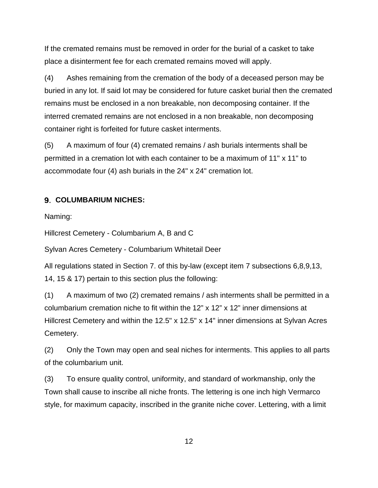If the cremated remains must be removed in order for the burial of a casket to take place a disinterment fee for each cremated remains moved will apply.

(4) Ashes remaining from the cremation of the body of a deceased person may be buried in any lot. If said lot may be considered for future casket burial then the cremated remains must be enclosed in a non breakable, non decomposing container. If the interred cremated remains are not enclosed in a non breakable, non decomposing container right is forfeited for future casket interments.

(5) A maximum of four (4) cremated remains / ash burials interments shall be permitted in a cremation lot with each container to be a maximum of 11" x 11" to accommodate four (4) ash burials in the 24" x 24" cremation lot.

#### **COLUMBARIUM NICHES:**

Naming:

Hillcrest Cemetery - Columbarium A, B and C

Sylvan Acres Cemetery - Columbarium Whitetail Deer

All regulations stated in Section 7. of this by-law (except item 7 subsections 6,8,9,13, 14, 15 & 17) pertain to this section plus the following:

(1) A maximum of two (2) cremated remains / ash interments shall be permitted in a columbarium cremation niche to fit within the 12" x 12" x 12" inner dimensions at Hillcrest Cemetery and within the 12.5" x 12.5" x 14" inner dimensions at Sylvan Acres Cemetery.

(2) Only the Town may open and seal niches for interments. This applies to all parts of the columbarium unit.

(3) To ensure quality control, uniformity, and standard of workmanship, only the Town shall cause to inscribe all niche fronts. The lettering is one inch high Vermarco style, for maximum capacity, inscribed in the granite niche cover. Lettering, with a limit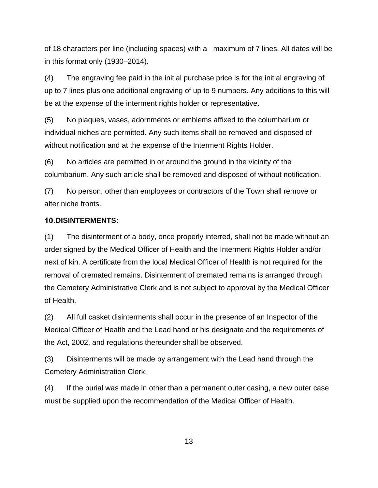of 18 characters per line (including spaces) with a maximum of 7 lines. All dates will be in this format only (1930–2014).

(4) The engraving fee paid in the initial purchase price is for the initial engraving of up to 7 lines plus one additional engraving of up to 9 numbers. Any additions to this will be at the expense of the interment rights holder or representative.

(5) No plaques, vases, adornments or emblems affixed to the columbarium or individual niches are permitted. Any such items shall be removed and disposed of without notification and at the expense of the Interment Rights Holder.

(6) No articles are permitted in or around the ground in the vicinity of the columbarium. Any such article shall be removed and disposed of without notification.

(7) No person, other than employees or contractors of the Town shall remove or alter niche fronts.

#### **DISINTERMENTS:**

(1) The disinterment of a body, once properly interred, shall not be made without an order signed by the Medical Officer of Health and the Interment Rights Holder and/or next of kin. A certificate from the local Medical Officer of Health is not required for the removal of cremated remains. Disinterment of cremated remains is arranged through the Cemetery Administrative Clerk and is not subject to approval by the Medical Officer of Health.

(2) All full casket disinterments shall occur in the presence of an Inspector of the Medical Officer of Health and the Lead hand or his designate and the requirements of the Act, 2002, and regulations thereunder shall be observed.

(3) Disinterments will be made by arrangement with the Lead hand through the Cemetery Administration Clerk.

(4) If the burial was made in other than a permanent outer casing, a new outer case must be supplied upon the recommendation of the Medical Officer of Health.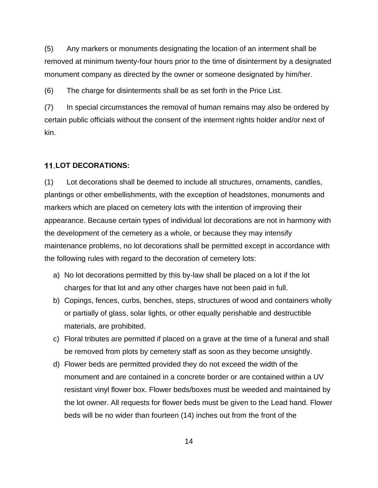(5) Any markers or monuments designating the location of an interment shall be removed at minimum twenty-four hours prior to the time of disinterment by a designated monument company as directed by the owner or someone designated by him/her.

(6) The charge for disinterments shall be as set forth in the Price List.

(7) In special circumstances the removal of human remains may also be ordered by certain public officials without the consent of the interment rights holder and/or next of kin.

#### **LOT DECORATIONS:**

(1) Lot decorations shall be deemed to include all structures, ornaments, candles, plantings or other embellishments, with the exception of headstones, monuments and markers which are placed on cemetery lots with the intention of improving their appearance. Because certain types of individual lot decorations are not in harmony with the development of the cemetery as a whole, or because they may intensify maintenance problems, no lot decorations shall be permitted except in accordance with the following rules with regard to the decoration of cemetery lots:

- a) No lot decorations permitted by this by-law shall be placed on a lot if the lot charges for that lot and any other charges have not been paid in full.
- b) Copings, fences, curbs, benches, steps, structures of wood and containers wholly or partially of glass, solar lights, or other equally perishable and destructible materials, are prohibited.
- c) Floral tributes are permitted if placed on a grave at the time of a funeral and shall be removed from plots by cemetery staff as soon as they become unsightly.
- d) Flower beds are permitted provided they do not exceed the width of the monument and are contained in a concrete border or are contained within a UV resistant vinyl flower box. Flower beds/boxes must be weeded and maintained by the lot owner. All requests for flower beds must be given to the Lead hand. Flower beds will be no wider than fourteen (14) inches out from the front of the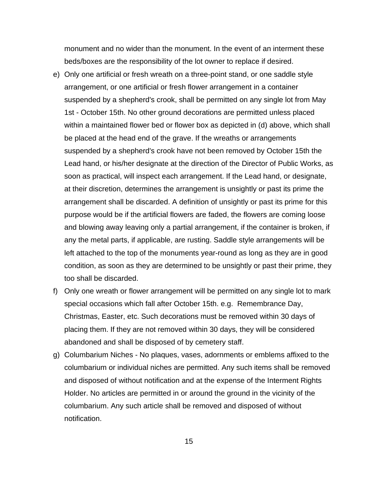monument and no wider than the monument. In the event of an interment these beds/boxes are the responsibility of the lot owner to replace if desired.

- e) Only one artificial or fresh wreath on a three-point stand, or one saddle style arrangement, or one artificial or fresh flower arrangement in a container suspended by a shepherd's crook, shall be permitted on any single lot from May 1st - October 15th. No other ground decorations are permitted unless placed within a maintained flower bed or flower box as depicted in (d) above, which shall be placed at the head end of the grave. If the wreaths or arrangements suspended by a shepherd's crook have not been removed by October 15th the Lead hand, or his/her designate at the direction of the Director of Public Works, as soon as practical, will inspect each arrangement. If the Lead hand, or designate, at their discretion, determines the arrangement is unsightly or past its prime the arrangement shall be discarded. A definition of unsightly or past its prime for this purpose would be if the artificial flowers are faded, the flowers are coming loose and blowing away leaving only a partial arrangement, if the container is broken, if any the metal parts, if applicable, are rusting. Saddle style arrangements will be left attached to the top of the monuments year-round as long as they are in good condition, as soon as they are determined to be unsightly or past their prime, they too shall be discarded.
- f) Only one wreath or flower arrangement will be permitted on any single lot to mark special occasions which fall after October 15th. e.g. Remembrance Day, Christmas, Easter, etc. Such decorations must be removed within 30 days of placing them. If they are not removed within 30 days, they will be considered abandoned and shall be disposed of by cemetery staff.
- g) Columbarium Niches No plaques, vases, adornments or emblems affixed to the columbarium or individual niches are permitted. Any such items shall be removed and disposed of without notification and at the expense of the Interment Rights Holder. No articles are permitted in or around the ground in the vicinity of the columbarium. Any such article shall be removed and disposed of without notification.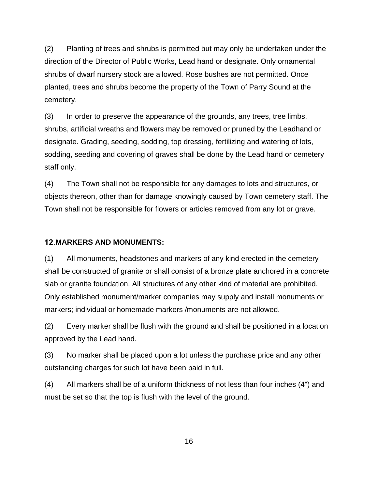(2) Planting of trees and shrubs is permitted but may only be undertaken under the direction of the Director of Public Works, Lead hand or designate. Only ornamental shrubs of dwarf nursery stock are allowed. Rose bushes are not permitted. Once planted, trees and shrubs become the property of the Town of Parry Sound at the cemetery.

(3) In order to preserve the appearance of the grounds, any trees, tree limbs, shrubs, artificial wreaths and flowers may be removed or pruned by the Leadhand or designate. Grading, seeding, sodding, top dressing, fertilizing and watering of lots, sodding, seeding and covering of graves shall be done by the Lead hand or cemetery staff only.

(4) The Town shall not be responsible for any damages to lots and structures, or objects thereon, other than for damage knowingly caused by Town cemetery staff. The Town shall not be responsible for flowers or articles removed from any lot or grave.

#### **MARKERS AND MONUMENTS:**

(1) All monuments, headstones and markers of any kind erected in the cemetery shall be constructed of granite or shall consist of a bronze plate anchored in a concrete slab or granite foundation. All structures of any other kind of material are prohibited. Only established monument/marker companies may supply and install monuments or markers; individual or homemade markers /monuments are not allowed.

(2) Every marker shall be flush with the ground and shall be positioned in a location approved by the Lead hand.

(3) No marker shall be placed upon a lot unless the purchase price and any other outstanding charges for such lot have been paid in full.

(4) All markers shall be of a uniform thickness of not less than four inches (4") and must be set so that the top is flush with the level of the ground.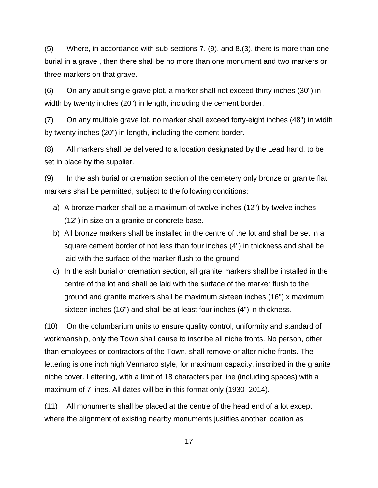(5) Where, in accordance with sub-sections 7. (9), and 8.(3), there is more than one burial in a grave , then there shall be no more than one monument and two markers or three markers on that grave.

(6) On any adult single grave plot, a marker shall not exceed thirty inches (30") in width by twenty inches (20") in length, including the cement border.

(7) On any multiple grave lot, no marker shall exceed forty-eight inches (48") in width by twenty inches (20") in length, including the cement border.

(8) All markers shall be delivered to a location designated by the Lead hand, to be set in place by the supplier.

(9) In the ash burial or cremation section of the cemetery only bronze or granite flat markers shall be permitted, subject to the following conditions:

- a) A bronze marker shall be a maximum of twelve inches (12") by twelve inches (12") in size on a granite or concrete base.
- b) All bronze markers shall be installed in the centre of the lot and shall be set in a square cement border of not less than four inches (4") in thickness and shall be laid with the surface of the marker flush to the ground.
- c) In the ash burial or cremation section, all granite markers shall be installed in the centre of the lot and shall be laid with the surface of the marker flush to the ground and granite markers shall be maximum sixteen inches (16") x maximum sixteen inches (16") and shall be at least four inches (4") in thickness.

(10) On the columbarium units to ensure quality control, uniformity and standard of workmanship, only the Town shall cause to inscribe all niche fronts. No person, other than employees or contractors of the Town, shall remove or alter niche fronts. The lettering is one inch high Vermarco style, for maximum capacity, inscribed in the granite niche cover. Lettering, with a limit of 18 characters per line (including spaces) with a maximum of 7 lines. All dates will be in this format only (1930–2014).

(11) All monuments shall be placed at the centre of the head end of a lot except where the alignment of existing nearby monuments justifies another location as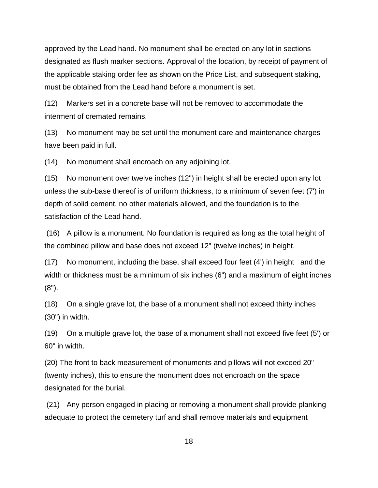approved by the Lead hand. No monument shall be erected on any lot in sections designated as flush marker sections. Approval of the location, by receipt of payment of the applicable staking order fee as shown on the Price List, and subsequent staking, must be obtained from the Lead hand before a monument is set.

(12) Markers set in a concrete base will not be removed to accommodate the interment of cremated remains.

(13) No monument may be set until the monument care and maintenance charges have been paid in full.

(14) No monument shall encroach on any adjoining lot.

(15) No monument over twelve inches (12") in height shall be erected upon any lot unless the sub-base thereof is of uniform thickness, to a minimum of seven feet (7') in depth of solid cement, no other materials allowed, and the foundation is to the satisfaction of the Lead hand.

(16) A pillow is a monument. No foundation is required as long as the total height of the combined pillow and base does not exceed 12" (twelve inches) in height.

(17) No monument, including the base, shall exceed four feet (4') in height and the width or thickness must be a minimum of six inches (6") and a maximum of eight inches  $(8")$ .

(18) On a single grave lot, the base of a monument shall not exceed thirty inches (30") in width.

(19) On a multiple grave lot, the base of a monument shall not exceed five feet (5') or 60" in width.

(20) The front to back measurement of monuments and pillows will not exceed 20" (twenty inches), this to ensure the monument does not encroach on the space designated for the burial.

(21) Any person engaged in placing or removing a monument shall provide planking adequate to protect the cemetery turf and shall remove materials and equipment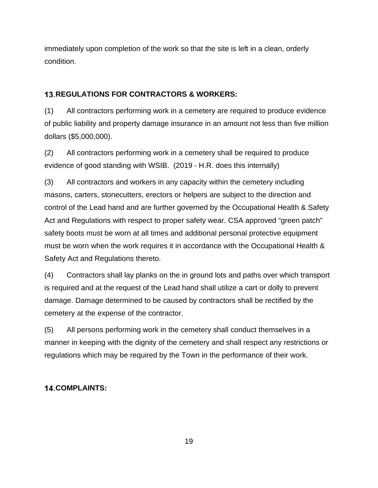immediately upon completion of the work so that the site is left in a clean, orderly condition.

### **REGULATIONS FOR CONTRACTORS & WORKERS:**

(1) All contractors performing work in a cemetery are required to produce evidence of public liability and property damage insurance in an amount not less than five million dollars (\$5,000,000).

(2) All contractors performing work in a cemetery shall be required to produce evidence of good standing with WSIB. (2019 - H.R. does this internally)

(3) All contractors and workers in any capacity within the cemetery including masons, carters, stonecutters, erectors or helpers are subject to the direction and control of the Lead hand and are further governed by the Occupational Health & Safety Act and Regulations with respect to proper safety wear. CSA approved "green patch" safety boots must be worn at all times and additional personal protective equipment must be worn when the work requires it in accordance with the Occupational Health & Safety Act and Regulations thereto.

(4) Contractors shall lay planks on the in ground lots and paths over which transport is required and at the request of the Lead hand shall utilize a cart or dolly to prevent damage. Damage determined to be caused by contractors shall be rectified by the cemetery at the expense of the contractor.

(5) All persons performing work in the cemetery shall conduct themselves in a manner in keeping with the dignity of the cemetery and shall respect any restrictions or regulations which may be required by the Town in the performance of their work.

### **COMPLAINTS:**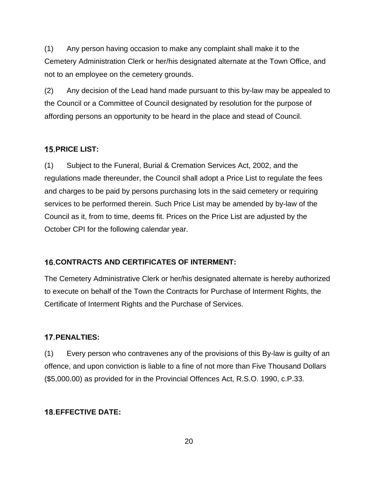(1) Any person having occasion to make any complaint shall make it to the Cemetery Administration Clerk or her/his designated alternate at the Town Office, and not to an employee on the cemetery grounds.

(2) Any decision of the Lead hand made pursuant to this by-law may be appealed to the Council or a Committee of Council designated by resolution for the purpose of affording persons an opportunity to be heard in the place and stead of Council.

#### **PRICE LIST:**

(1) Subject to the Funeral, Burial & Cremation Services Act, 2002, and the regulations made thereunder, the Council shall adopt a Price List to regulate the fees and charges to be paid by persons purchasing lots in the said cemetery or requiring services to be performed therein. Such Price List may be amended by by-law of the Council as it, from to time, deems fit. Prices on the Price List are adjusted by the October CPI for the following calendar year.

#### **16. CONTRACTS AND CERTIFICATES OF INTERMENT:**

The Cemetery Administrative Clerk or her/his designated alternate is hereby authorized to execute on behalf of the Town the Contracts for Purchase of Interment Rights, the Certificate of Interment Rights and the Purchase of Services.

#### **PENALTIES:**

(1) Every person who contravenes any of the provisions of this By-law is guilty of an offence, and upon conviction is liable to a fine of not more than Five Thousand Dollars (\$5,000.00) as provided for in the Provincial Offences Act, R.S.O. 1990, c.P.33.

#### **EFFECTIVE DATE:**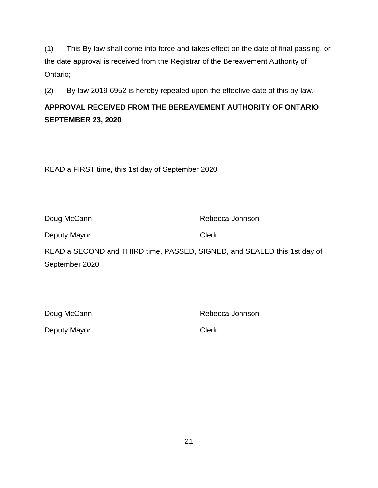(1) This By-law shall come into force and takes effect on the date of final passing, or the date approval is received from the Registrar of the Bereavement Authority of Ontario;

(2) By-law 2019-6952 is hereby repealed upon the effective date of this by-law.

### **APPROVAL RECEIVED FROM THE BEREAVEMENT AUTHORITY OF ONTARIO SEPTEMBER 23, 2020**

READ a FIRST time, this 1st day of September 2020

Doug McCann **Rebecca** Johnson

Deputy Mayor Clerk

READ a SECOND and THIRD time, PASSED, SIGNED, and SEALED this 1st day of September 2020

Doug McCann **Rebecca** Johnson

Deputy Mayor Clerk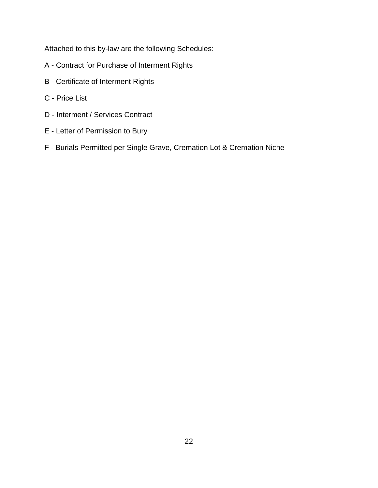Attached to this by-law are the following Schedules:

- A Contract for Purchase of Interment Rights
- B Certificate of Interment Rights
- C Price List
- D Interment / Services Contract
- E Letter of Permission to Bury
- F Burials Permitted per Single Grave, Cremation Lot & Cremation Niche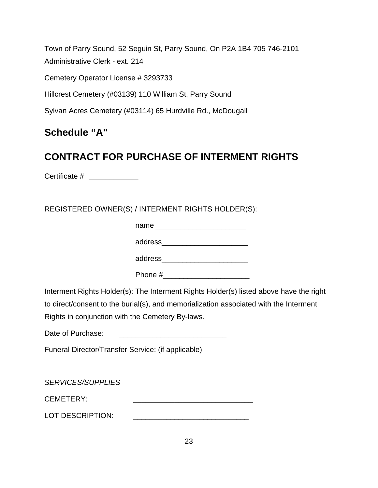Town of Parry Sound, 52 Seguin St, Parry Sound, On P2A 1B4 705 746-2101 Administrative Clerk - ext. 214 Cemetery Operator License # 3293733 Hillcrest Cemetery (#03139) 110 William St, Parry Sound

Sylvan Acres Cemetery (#03114) 65 Hurdville Rd., McDougall

## **Schedule "A"**

## **CONTRACT FOR PURCHASE OF INTERMENT RIGHTS**

Certificate # \_\_\_\_\_\_\_\_\_\_\_\_

REGISTERED OWNER(S) / INTERMENT RIGHTS HOLDER(S):

name **matrix** 

address\_\_\_\_\_\_\_\_\_\_\_\_\_\_\_\_\_\_\_\_\_

address\_\_\_\_\_\_\_\_\_\_\_\_\_\_\_\_\_\_\_\_\_

Phone #

Interment Rights Holder(s): The Interment Rights Holder(s) listed above have the right to direct/consent to the burial(s), and memorialization associated with the Interment Rights in conjunction with the Cemetery By-laws.

Date of Purchase:

Funeral Director/Transfer Service: (if applicable)

*SERVICES/SUPPLIES*

CEMETERY: **with a set of the set of the set of the set of the set of the set of the set of the set of the set of the set of the set of the set of the set of the set of the set of the set of the set of the set of the set of** 

LOT DESCRIPTION: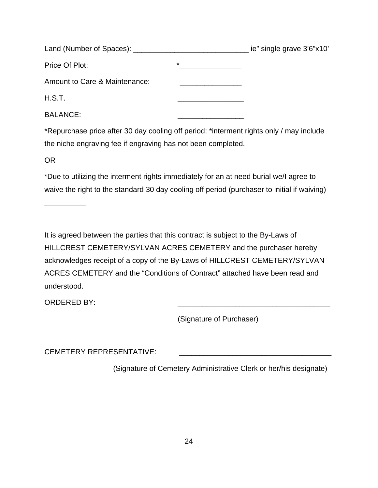|                               |         | ie" single grave 3'6"x10' |
|-------------------------------|---------|---------------------------|
| Price Of Plot:                | $\star$ |                           |
| Amount to Care & Maintenance: |         |                           |
| H.S.T.                        |         |                           |
| <b>BALANCE:</b>               |         |                           |

\*Repurchase price after 30 day cooling off period: \*interment rights only / may include the niche engraving fee if engraving has not been completed.

OR

\_\_\_\_\_\_\_\_\_\_

\*Due to utilizing the interment rights immediately for an at need burial we/I agree to waive the right to the standard 30 day cooling off period (purchaser to initial if waiving)

It is agreed between the parties that this contract is subject to the By-Laws of HILLCREST CEMETERY/SYLVAN ACRES CEMETERY and the purchaser hereby acknowledges receipt of a copy of the By-Laws of HILLCREST CEMETERY/SYLVAN ACRES CEMETERY and the "Conditions of Contract" attached have been read and understood.

ORDERED BY:

(Signature of Purchaser)

CEMETERY REPRESENTATIVE:

(Signature of Cemetery Administrative Clerk or her/his designate)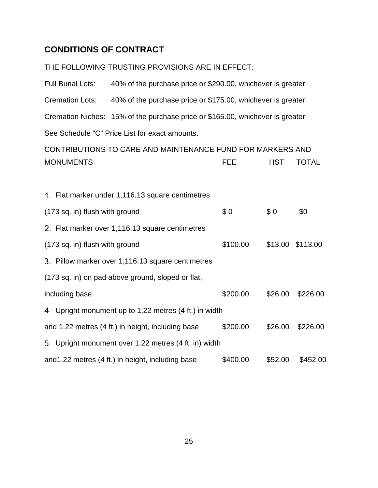### **CONDITIONS OF CONTRACT**

THE FOLLOWING TRUSTING PROVISIONS ARE IN EFFECT:

Full Burial Lots: 40% of the purchase price or \$290.00, whichever is greater Cremation Lots: 40% of the purchase price or \$175.00, whichever is greater Cremation Niches: 15% of the purchase price or \$165.00, whichever is greater See Schedule "C" Price List for exact amounts.

```
CONTRIBUTIONS TO CARE AND MAINTENANCE FUND FOR MARKERS AND 
MONUMENTS FEE HST TOTAL
```

| 1. Flat marker under 1,116.13 square centimetres       |          |         |                  |
|--------------------------------------------------------|----------|---------|------------------|
| (173 sq. in) flush with ground                         | \$0      | \$0     | \$0              |
| 2. Flat marker over 1,116.13 square centimetres        |          |         |                  |
| (173 sq. in) flush with ground                         | \$100.00 |         | \$13.00 \$113.00 |
| 3. Pillow marker over 1,116.13 square centimetres      |          |         |                  |
| (173 sq. in) on pad above ground, sloped or flat,      |          |         |                  |
| including base                                         | \$200.00 | \$26.00 | \$226.00         |
| 4. Upright monument up to 1.22 metres (4 ft.) in width |          |         |                  |
| and 1.22 metres (4 ft.) in height, including base      | \$200.00 | \$26.00 | \$226.00         |
| 5. Upright monument over 1.22 metres (4 ft. in) width  |          |         |                  |
| and1.22 metres (4 ft.) in height, including base       | \$400.00 | \$52.00 | \$452.00         |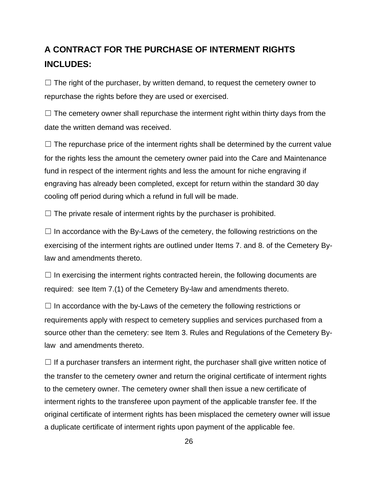## **A CONTRACT FOR THE PURCHASE OF INTERMENT RIGHTS INCLUDES:**

 $\Box$  The right of the purchaser, by written demand, to request the cemetery owner to repurchase the rights before they are used or exercised.

 $\Box$  The cemetery owner shall repurchase the interment right within thirty days from the date the written demand was received.

 $\Box$  The repurchase price of the interment rights shall be determined by the current value for the rights less the amount the cemetery owner paid into the Care and Maintenance fund in respect of the interment rights and less the amount for niche engraving if engraving has already been completed, except for return within the standard 30 day cooling off period during which a refund in full will be made.

 $\Box$  The private resale of interment rights by the purchaser is prohibited.

 $\Box$  In accordance with the By-Laws of the cemetery, the following restrictions on the exercising of the interment rights are outlined under Items 7. and 8. of the Cemetery Bylaw and amendments thereto.

 $\Box$  In exercising the interment rights contracted herein, the following documents are required: see Item 7.(1) of the Cemetery By-law and amendments thereto.

 $\Box$  In accordance with the by-Laws of the cemetery the following restrictions or requirements apply with respect to cemetery supplies and services purchased from a source other than the cemetery: see Item 3. Rules and Regulations of the Cemetery Bylaw and amendments thereto.

 $\Box$  If a purchaser transfers an interment right, the purchaser shall give written notice of the transfer to the cemetery owner and return the original certificate of interment rights to the cemetery owner. The cemetery owner shall then issue a new certificate of interment rights to the transferee upon payment of the applicable transfer fee. If the original certificate of interment rights has been misplaced the cemetery owner will issue a duplicate certificate of interment rights upon payment of the applicable fee.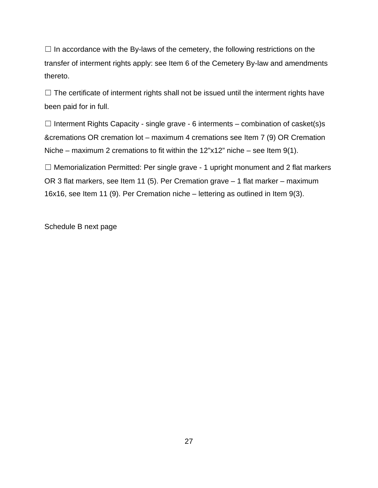$\Box$  In accordance with the By-laws of the cemetery, the following restrictions on the transfer of interment rights apply: see Item 6 of the Cemetery By-law and amendments thereto.

 $\Box$  The certificate of interment rights shall not be issued until the interment rights have been paid for in full.

 $\Box$  Interment Rights Capacity - single grave - 6 interments – combination of casket(s)s &cremations OR cremation lot – maximum 4 cremations see Item 7 (9) OR Cremation Niche – maximum 2 cremations to fit within the 12"x12" niche – see Item 9(1).

□ Memorialization Permitted: Per single grave - 1 upright monument and 2 flat markers OR 3 flat markers, see Item 11 (5). Per Cremation grave – 1 flat marker – maximum 16x16, see Item 11 (9). Per Cremation niche – lettering as outlined in Item 9(3).

Schedule B next page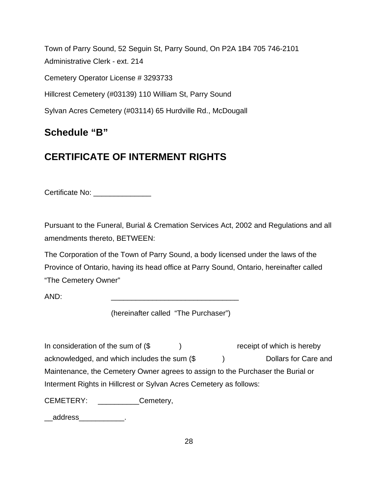Town of Parry Sound, 52 Seguin St, Parry Sound, On P2A 1B4 705 746-2101 Administrative Clerk - ext. 214 Cemetery Operator License # 3293733 Hillcrest Cemetery (#03139) 110 William St, Parry Sound Sylvan Acres Cemetery (#03114) 65 Hurdville Rd., McDougall

## **Schedule "B"**

## **CERTIFICATE OF INTERMENT RIGHTS**

Certificate No: \_\_\_\_\_\_\_\_\_\_\_\_\_\_\_

Pursuant to the Funeral, Burial & Cremation Services Act, 2002 and Regulations and all amendments thereto, BETWEEN:

The Corporation of the Town of Parry Sound, a body licensed under the laws of the Province of Ontario, having its head office at Parry Sound, Ontario, hereinafter called "The Cemetery Owner"

AND: \_\_\_\_\_\_\_\_\_\_\_\_\_\_\_\_\_\_\_\_\_\_\_\_\_\_\_\_\_\_\_

(hereinafter called "The Purchaser")

In consideration of the sum of (\$ ) receipt of which is hereby acknowledged, and which includes the sum  $(\text{\$} \qquad )$  Dollars for Care and Maintenance, the Cemetery Owner agrees to assign to the Purchaser the Burial or Interment Rights in Hillcrest or Sylvan Acres Cemetery as follows:

CEMETERY: \_\_\_\_\_\_\_\_\_\_\_Cemetery,

\_\_address\_\_\_\_\_\_\_\_\_\_\_.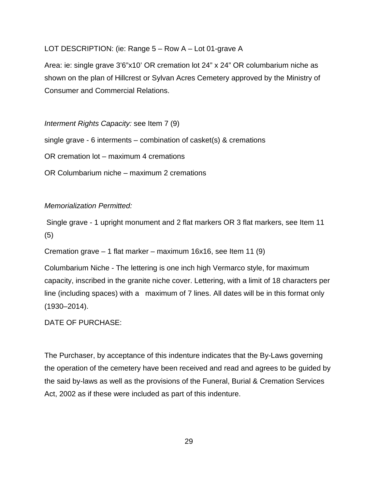#### LOT DESCRIPTION: (ie: Range 5 – Row A – Lot 01-grave A

Area: ie: single grave 3'6"x10' OR cremation lot 24" x 24" OR columbarium niche as shown on the plan of Hillcrest or Sylvan Acres Cemetery approved by the Ministry of Consumer and Commercial Relations.

*Interment Rights Capacity:* see Item 7 (9) single grave - 6 interments – combination of casket(s) & cremations OR cremation lot – maximum 4 cremations OR Columbarium niche – maximum 2 cremations

#### *Memorialization Permitted:*

Single grave - 1 upright monument and 2 flat markers OR 3 flat markers, see Item 11 (5)

Cremation grave – 1 flat marker – maximum 16x16, see Item 11 (9)

Columbarium Niche - The lettering is one inch high Vermarco style, for maximum capacity, inscribed in the granite niche cover. Lettering, with a limit of 18 characters per line (including spaces) with a maximum of 7 lines. All dates will be in this format only (1930–2014).

#### DATE OF PURCHASE:

The Purchaser, by acceptance of this indenture indicates that the By-Laws governing the operation of the cemetery have been received and read and agrees to be guided by the said by-laws as well as the provisions of the Funeral, Burial & Cremation Services Act, 2002 as if these were included as part of this indenture.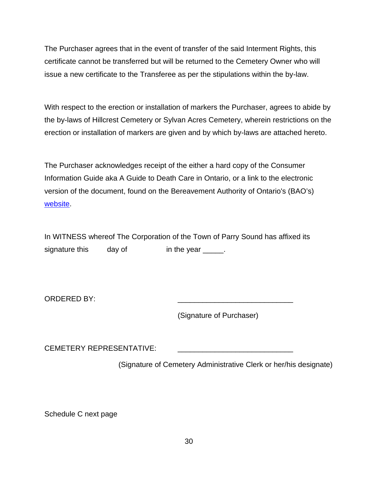The Purchaser agrees that in the event of transfer of the said Interment Rights, this certificate cannot be transferred but will be returned to the Cemetery Owner who will issue a new certificate to the Transferee as per the stipulations within the by-law.

With respect to the erection or installation of markers the Purchaser, agrees to abide by the by-laws of Hillcrest Cemetery or Sylvan Acres Cemetery, wherein restrictions on the erection or installation of markers are given and by which by-laws are attached hereto.

The Purchaser acknowledges receipt of the either a hard copy of the Consumer Information Guide aka A Guide to Death Care in Ontario, or a link to the electronic version of the document, found on the Bereavement Authority of Ontario's (BAO's) [website.](https://thebao.us8.list-manage.com/track/click?u=e76b9d150bf1f80bbba039174&id=ac0e95d05c&e=41f27fc1b2)

In WITNESS whereof The Corporation of the Town of Parry Sound has affixed its signature this day of in the year \_\_\_\_\_.

ORDERED BY:

(Signature of Purchaser)

CEMETERY REPRESENTATIVE:

(Signature of Cemetery Administrative Clerk or her/his designate)

Schedule C next page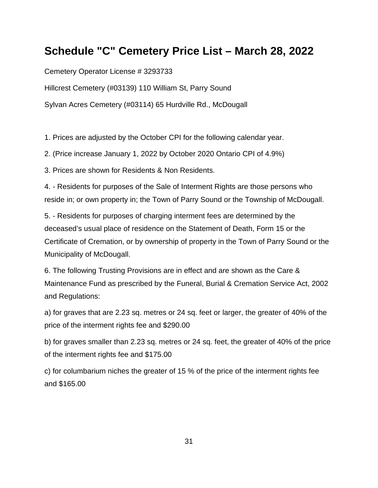## **Schedule "C" Cemetery Price List – March 28, 2022**

Cemetery Operator License # 3293733

Hillcrest Cemetery (#03139) 110 William St, Parry Sound

Sylvan Acres Cemetery (#03114) 65 Hurdville Rd., McDougall

1. Prices are adjusted by the October CPI for the following calendar year.

2. (Price increase January 1, 2022 by October 2020 Ontario CPI of 4.9%)

3. Prices are shown for Residents & Non Residents.

4. - Residents for purposes of the Sale of Interment Rights are those persons who reside in; or own property in; the Town of Parry Sound or the Township of McDougall.

5. - Residents for purposes of charging interment fees are determined by the deceased's usual place of residence on the Statement of Death, Form 15 or the Certificate of Cremation, or by ownership of property in the Town of Parry Sound or the Municipality of McDougall.

6. The following Trusting Provisions are in effect and are shown as the Care & Maintenance Fund as prescribed by the Funeral, Burial & Cremation Service Act, 2002 and Regulations:

a) for graves that are 2.23 sq. metres or 24 sq. feet or larger, the greater of 40% of the price of the interment rights fee and \$290.00

b) for graves smaller than 2.23 sq. metres or 24 sq. feet, the greater of 40% of the price of the interment rights fee and \$175.00

c) for columbarium niches the greater of 15 % of the price of the interment rights fee and \$165.00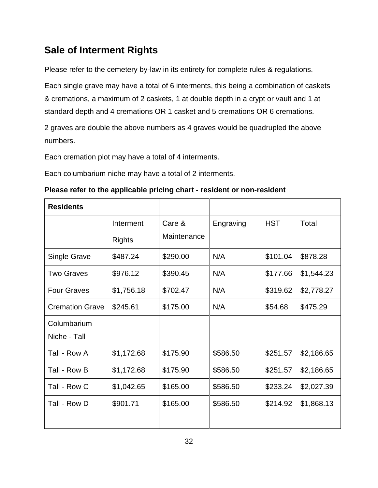### **Sale of Interment Rights**

Please refer to the cemetery by-law in its entirety for complete rules & regulations.

Each single grave may have a total of 6 interments, this being a combination of caskets & cremations, a maximum of 2 caskets, 1 at double depth in a crypt or vault and 1 at standard depth and 4 cremations OR 1 casket and 5 cremations OR 6 cremations.

2 graves are double the above numbers as 4 graves would be quadrupled the above numbers.

Each cremation plot may have a total of 4 interments.

Each columbarium niche may have a total of 2 interments.

| Please refer to the applicable pricing chart - resident or non-resident |  |
|-------------------------------------------------------------------------|--|
|-------------------------------------------------------------------------|--|

| <b>Residents</b>       |               |             |           |            |            |
|------------------------|---------------|-------------|-----------|------------|------------|
|                        | Interment     | Care &      | Engraving | <b>HST</b> | Total      |
|                        | <b>Rights</b> | Maintenance |           |            |            |
| Single Grave           | \$487.24      | \$290.00    | N/A       | \$101.04   | \$878.28   |
| <b>Two Graves</b>      | \$976.12      | \$390.45    | N/A       | \$177.66   | \$1,544.23 |
| <b>Four Graves</b>     | \$1,756.18    | \$702.47    | N/A       | \$319.62   | \$2,778.27 |
| <b>Cremation Grave</b> | \$245.61      | \$175.00    | N/A       | \$54.68    | \$475.29   |
| Columbarium            |               |             |           |            |            |
| Niche - Tall           |               |             |           |            |            |
| Tall - Row A           | \$1,172.68    | \$175.90    | \$586.50  | \$251.57   | \$2,186.65 |
| Tall - Row B           | \$1,172.68    | \$175.90    | \$586.50  | \$251.57   | \$2,186.65 |
| Tall - Row C           | \$1,042.65    | \$165.00    | \$586.50  | \$233.24   | \$2,027.39 |
| Tall - Row D           | \$901.71      | \$165.00    | \$586.50  | \$214.92   | \$1,868.13 |
|                        |               |             |           |            |            |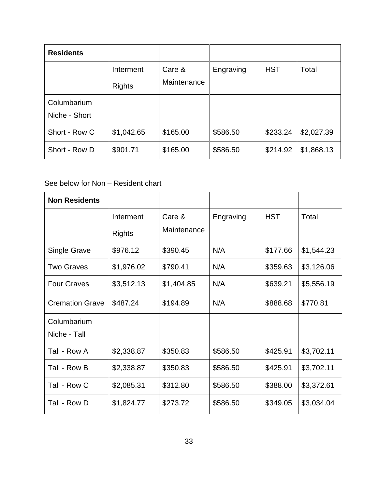| <b>Residents</b>             |                            |                       |           |            |            |
|------------------------------|----------------------------|-----------------------|-----------|------------|------------|
|                              | Interment<br><b>Rights</b> | Care &<br>Maintenance | Engraving | <b>HST</b> | Total      |
| Columbarium<br>Niche - Short |                            |                       |           |            |            |
| Short - Row C                | \$1,042.65                 | \$165.00              | \$586.50  | \$233.24   | \$2,027.39 |
| Short - Row D                | \$901.71                   | \$165.00              | \$586.50  | \$214.92   | \$1,868.13 |

### See below for Non – Resident chart

| <b>Non Residents</b>        |                            |                       |           |            |            |
|-----------------------------|----------------------------|-----------------------|-----------|------------|------------|
|                             | Interment<br><b>Rights</b> | Care &<br>Maintenance | Engraving | <b>HST</b> | Total      |
| <b>Single Grave</b>         | \$976.12                   | \$390.45              | N/A       | \$177.66   | \$1,544.23 |
| <b>Two Graves</b>           | \$1,976.02                 | \$790.41              | N/A       | \$359.63   | \$3,126.06 |
| <b>Four Graves</b>          | \$3,512.13                 | \$1,404.85            | N/A       | \$639.21   | \$5,556.19 |
| <b>Cremation Grave</b>      | \$487.24                   | \$194.89              | N/A       | \$888.68   | \$770.81   |
| Columbarium<br>Niche - Tall |                            |                       |           |            |            |
| Tall - Row A                | \$2,338.87                 | \$350.83              | \$586.50  | \$425.91   | \$3,702.11 |
| Tall - Row B                | \$2,338.87                 | \$350.83              | \$586.50  | \$425.91   | \$3,702.11 |
| Tall - Row C                | \$2,085.31                 | \$312.80              | \$586.50  | \$388.00   | \$3,372.61 |
| Tall - Row D                | \$1,824.77                 | \$273.72              | \$586.50  | \$349.05   | \$3,034.04 |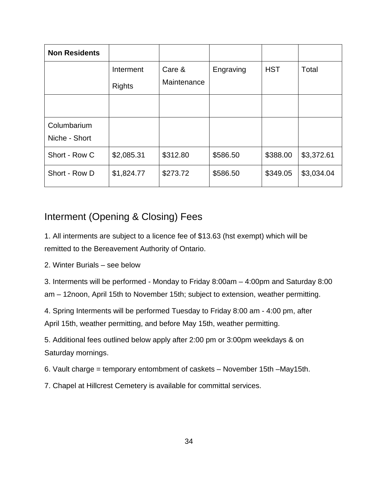| <b>Non Residents</b> |               |             |           |            |            |
|----------------------|---------------|-------------|-----------|------------|------------|
|                      | Interment     | Care &      | Engraving | <b>HST</b> | Total      |
|                      | <b>Rights</b> | Maintenance |           |            |            |
|                      |               |             |           |            |            |
| Columbarium          |               |             |           |            |            |
| Niche - Short        |               |             |           |            |            |
| Short - Row C        | \$2,085.31    | \$312.80    | \$586.50  | \$388.00   | \$3,372.61 |
| Short - Row D        | \$1,824.77    | \$273.72    | \$586.50  | \$349.05   | \$3,034.04 |

## Interment (Opening & Closing) Fees

1. All interments are subject to a licence fee of \$13.63 (hst exempt) which will be remitted to the Bereavement Authority of Ontario.

2. Winter Burials – see below

3. Interments will be performed - Monday to Friday 8:00am – 4:00pm and Saturday 8:00 am – 12noon, April 15th to November 15th; subject to extension, weather permitting.

4. Spring Interments will be performed Tuesday to Friday 8:00 am - 4:00 pm, after April 15th, weather permitting, and before May 15th, weather permitting.

5. Additional fees outlined below apply after 2:00 pm or 3:00pm weekdays & on Saturday mornings.

6. Vault charge = temporary entombment of caskets – November 15th –May15th.

7. Chapel at Hillcrest Cemetery is available for committal services.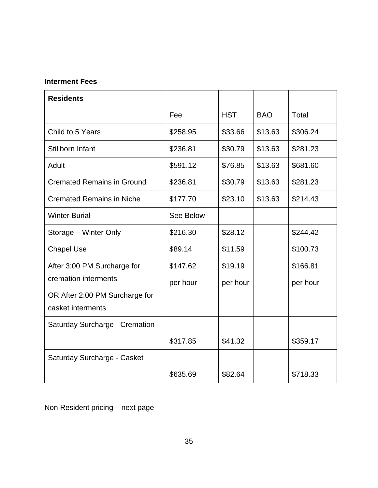### **Interment Fees**

| <b>Residents</b>                      |           |            |            |          |
|---------------------------------------|-----------|------------|------------|----------|
|                                       | Fee       | <b>HST</b> | <b>BAO</b> | Total    |
| Child to 5 Years                      | \$258.95  | \$33.66    | \$13.63    | \$306.24 |
| Stillborn Infant                      | \$236.81  | \$30.79    | \$13.63    | \$281.23 |
| Adult                                 | \$591.12  | \$76.85    | \$13.63    | \$681.60 |
| <b>Cremated Remains in Ground</b>     | \$236.81  | \$30.79    | \$13.63    | \$281.23 |
| <b>Cremated Remains in Niche</b>      | \$177.70  | \$23.10    | \$13.63    | \$214.43 |
| <b>Winter Burial</b>                  | See Below |            |            |          |
| Storage - Winter Only                 | \$216.30  | \$28.12    |            | \$244.42 |
| <b>Chapel Use</b>                     | \$89.14   | \$11.59    |            | \$100.73 |
| After 3:00 PM Surcharge for           | \$147.62  | \$19.19    |            | \$166.81 |
| cremation interments                  | per hour  | per hour   |            | per hour |
| OR After 2:00 PM Surcharge for        |           |            |            |          |
| casket interments                     |           |            |            |          |
| <b>Saturday Surcharge - Cremation</b> |           |            |            |          |
|                                       | \$317.85  | \$41.32    |            | \$359.17 |
| Saturday Surcharge - Casket           |           |            |            |          |
|                                       | \$635.69  | \$82.64    |            | \$718.33 |

Non Resident pricing – next page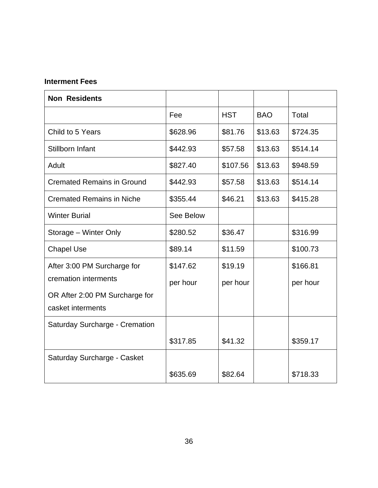### **Interment Fees**

| <b>Non Residents</b>                  |           |            |            |          |
|---------------------------------------|-----------|------------|------------|----------|
|                                       | Fee       | <b>HST</b> | <b>BAO</b> | Total    |
| Child to 5 Years                      | \$628.96  | \$81.76    | \$13.63    | \$724.35 |
| Stillborn Infant                      | \$442.93  | \$57.58    | \$13.63    | \$514.14 |
| Adult                                 | \$827.40  | \$107.56   | \$13.63    | \$948.59 |
| <b>Cremated Remains in Ground</b>     | \$442.93  | \$57.58    | \$13.63    | \$514.14 |
| <b>Cremated Remains in Niche</b>      | \$355.44  | \$46.21    | \$13.63    | \$415.28 |
| <b>Winter Burial</b>                  | See Below |            |            |          |
| Storage - Winter Only                 | \$280.52  | \$36.47    |            | \$316.99 |
| <b>Chapel Use</b>                     | \$89.14   | \$11.59    |            | \$100.73 |
| After 3:00 PM Surcharge for           | \$147.62  | \$19.19    |            | \$166.81 |
| cremation interments                  | per hour  | per hour   |            | per hour |
| OR After 2:00 PM Surcharge for        |           |            |            |          |
| casket interments                     |           |            |            |          |
| <b>Saturday Surcharge - Cremation</b> |           |            |            |          |
|                                       | \$317.85  | \$41.32    |            | \$359.17 |
| Saturday Surcharge - Casket           |           |            |            |          |
|                                       | \$635.69  | \$82.64    |            | \$718.33 |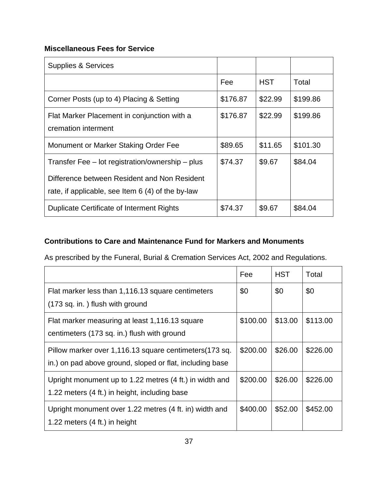### **Miscellaneous Fees for Service**

| <b>Supplies &amp; Services</b>                                                                                                                        |          |            |          |
|-------------------------------------------------------------------------------------------------------------------------------------------------------|----------|------------|----------|
|                                                                                                                                                       | Fee      | <b>HST</b> | Total    |
| Corner Posts (up to 4) Placing & Setting                                                                                                              | \$176.87 | \$22.99    | \$199.86 |
| Flat Marker Placement in conjunction with a<br>cremation interment                                                                                    | \$176.87 | \$22.99    | \$199.86 |
| Monument or Marker Staking Order Fee                                                                                                                  | \$89.65  | \$11.65    | \$101.30 |
| Transfer Fee - lot registration/ownership - plus<br>Difference between Resident and Non Resident<br>rate, if applicable, see Item 6 (4) of the by-law | \$74.37  | \$9.67     | \$84.04  |
| <b>Duplicate Certificate of Interment Rights</b>                                                                                                      | \$74.37  | \$9.67     | \$84.04  |

### **Contributions to Care and Maintenance Fund for Markers and Monuments**

As prescribed by the Funeral, Burial & Cremation Services Act, 2002 and Regulations.

|                                                                                                                     | Fee      | <b>HST</b> | Total    |
|---------------------------------------------------------------------------------------------------------------------|----------|------------|----------|
| Flat marker less than 1,116.13 square centimeters<br>(173 sq. in.) flush with ground                                | \$0      | \$0        | \$0      |
| Flat marker measuring at least 1,116.13 square<br>centimeters (173 sq. in.) flush with ground                       | \$100.00 | \$13.00    | \$113.00 |
| Pillow marker over 1,116.13 square centimeters (173 sq.<br>in.) on pad above ground, sloped or flat, including base | \$200.00 | \$26.00    | \$226.00 |
| Upright monument up to 1.22 metres (4 ft.) in width and<br>1.22 meters (4 ft.) in height, including base            | \$200.00 | \$26.00    | \$226.00 |
| Upright monument over 1.22 metres (4 ft. in) width and<br>1.22 meters $(4 \text{ ft.})$ in height                   | \$400.00 | \$52.00    | \$452.00 |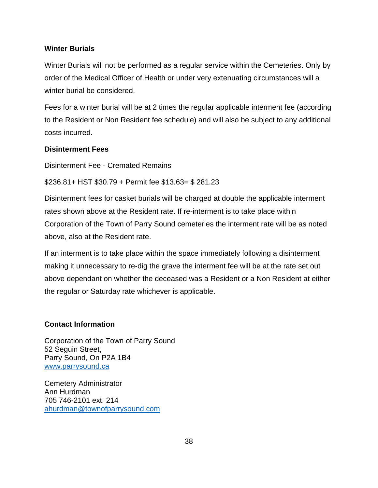#### **Winter Burials**

Winter Burials will not be performed as a regular service within the Cemeteries. Only by order of the Medical Officer of Health or under very extenuating circumstances will a winter burial be considered.

Fees for a winter burial will be at 2 times the regular applicable interment fee (according to the Resident or Non Resident fee schedule) and will also be subject to any additional costs incurred.

#### **Disinterment Fees**

Disinterment Fee - Cremated Remains

\$236.81+ HST \$30.79 + Permit fee \$13.63= \$ 281.23

Disinterment fees for casket burials will be charged at double the applicable interment rates shown above at the Resident rate. If re-interment is to take place within Corporation of the Town of Parry Sound cemeteries the interment rate will be as noted above, also at the Resident rate.

If an interment is to take place within the space immediately following a disinterment making it unnecessary to re-dig the grave the interment fee will be at the rate set out above dependant on whether the deceased was a Resident or a Non Resident at either the regular or Saturday rate whichever is applicable.

#### **Contact Information**

Corporation of the Town of Parry Sound 52 Seguin Street, Parry Sound, On P2A 1B4 www.parrysound.ca

Cemetery Administrator Ann Hurdman 705 746-2101 ext. 214 ahurdman@townofparrysound.com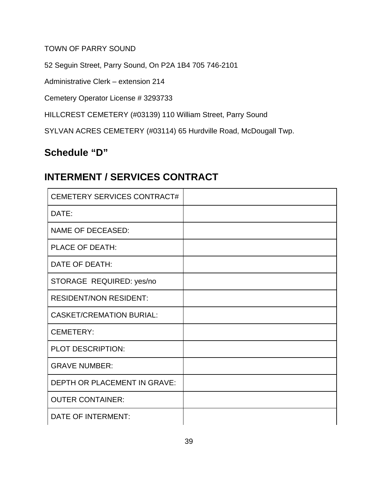TOWN OF PARRY SOUND

52 Seguin Street, Parry Sound, On P2A 1B4 705 746-2101

Administrative Clerk – extension 214

Cemetery Operator License # 3293733

HILLCREST CEMETERY (#03139) 110 William Street, Parry Sound

SYLVAN ACRES CEMETERY (#03114) 65 Hurdville Road, McDougall Twp.

## **Schedule "D"**

## **INTERMENT / SERVICES CONTRACT**

| <b>CEMETERY SERVICES CONTRACT#</b>  |  |
|-------------------------------------|--|
| DATE:                               |  |
| <b>NAME OF DECEASED:</b>            |  |
| <b>PLACE OF DEATH:</b>              |  |
| DATE OF DEATH:                      |  |
| STORAGE REQUIRED: yes/no            |  |
| <b>RESIDENT/NON RESIDENT:</b>       |  |
| <b>CASKET/CREMATION BURIAL:</b>     |  |
| <b>CEMETERY:</b>                    |  |
| PLOT DESCRIPTION:                   |  |
| <b>GRAVE NUMBER:</b>                |  |
| <b>DEPTH OR PLACEMENT IN GRAVE:</b> |  |
| <b>OUTER CONTAINER:</b>             |  |
| DATE OF INTERMENT:                  |  |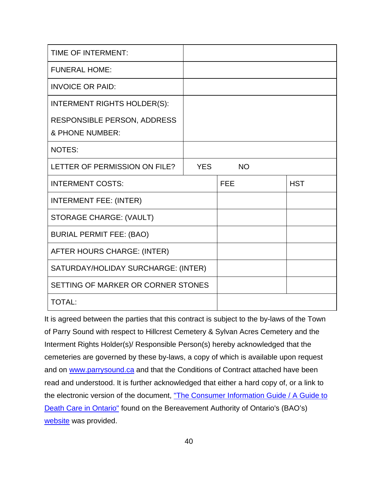| TIME OF INTERMENT:                             |            |            |            |
|------------------------------------------------|------------|------------|------------|
| <b>FUNERAL HOME:</b>                           |            |            |            |
| <b>INVOICE OR PAID:</b>                        |            |            |            |
| <b>INTERMENT RIGHTS HOLDER(S):</b>             |            |            |            |
| RESPONSIBLE PERSON, ADDRESS<br>& PHONE NUMBER: |            |            |            |
| <b>NOTES:</b>                                  |            |            |            |
| LETTER OF PERMISSION ON FILE?                  | <b>YES</b> | <b>NO</b>  |            |
|                                                |            |            |            |
| <b>INTERMENT COSTS:</b>                        |            | <b>FEE</b> | <b>HST</b> |
| <b>INTERMENT FEE: (INTER)</b>                  |            |            |            |
| <b>STORAGE CHARGE: (VAULT)</b>                 |            |            |            |
| <b>BURIAL PERMIT FEE: (BAO)</b>                |            |            |            |
| AFTER HOURS CHARGE: (INTER)                    |            |            |            |
| SATURDAY/HOLIDAY SURCHARGE: (INTER)            |            |            |            |
| SETTING OF MARKER OR CORNER STONES             |            |            |            |

It is agreed between the parties that this contract is subject to the by-laws of the Town of Parry Sound with respect to Hillcrest Cemetery & Sylvan Acres Cemetery and the Interment Rights Holder(s)/ Responsible Person(s) hereby acknowledged that the cemeteries are governed by these by-laws, a copy of which is available upon request and on [www.parrysound.ca](http://www.parrysound.ca/) and that the Conditions of Contract attached have been read and understood. It is further acknowledged that either a hard copy of, or a link to the electronic version of the document, "The Consumer Information Guide / A Guide to [Death Care in Ontario"](https://thebao.ca/for-professionals/order-consumer-information-guide/) found on the Bereavement Authority of Ontario's (BAO's) [website](https://thebao.us8.list-manage.com/track/click?u=e76b9d150bf1f80bbba039174&id=ac0e95d05c&e=41f27fc1b2) was provided.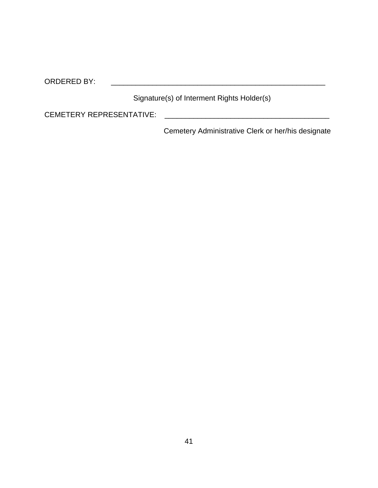ORDERED BY:  $\blacksquare$ 

Signature(s) of Interment Rights Holder(s)

CEMETERY REPRESENTATIVE: \_\_\_\_\_\_\_\_\_\_\_\_\_\_\_\_\_\_\_\_\_\_\_\_\_\_\_\_\_\_\_\_\_\_\_\_\_\_\_\_

Cemetery Administrative Clerk or her/his designate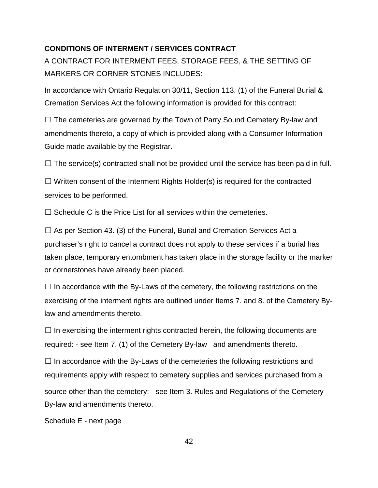#### **CONDITIONS OF INTERMENT / SERVICES CONTRACT**

A CONTRACT FOR INTERMENT FEES, STORAGE FEES, & THE SETTING OF MARKERS OR CORNER STONES INCLUDES:

In accordance with Ontario Regulation 30/11, Section 113. (1) of the Funeral Burial & Cremation Services Act the following information is provided for this contract:

□ The cemeteries are governed by the Town of Parry Sound Cemetery By-law and amendments thereto, a copy of which is provided along with a Consumer Information Guide made available by the Registrar.

 $\Box$  The service(s) contracted shall not be provided until the service has been paid in full.

 $\Box$  Written consent of the Interment Rights Holder(s) is required for the contracted services to be performed.

 $\Box$  Schedule C is the Price List for all services within the cemeteries.

 $\Box$  As per Section 43. (3) of the Funeral, Burial and Cremation Services Act a purchaser's right to cancel a contract does not apply to these services if a burial has taken place, temporary entombment has taken place in the storage facility or the marker or cornerstones have already been placed.

 $\Box$  In accordance with the By-Laws of the cemetery, the following restrictions on the exercising of the interment rights are outlined under Items 7. and 8. of the Cemetery Bylaw and amendments thereto.

 $\Box$  In exercising the interment rights contracted herein, the following documents are required: - see Item 7. (1) of the Cemetery By-law and amendments thereto.

 $\Box$  In accordance with the By-Laws of the cemeteries the following restrictions and requirements apply with respect to cemetery supplies and services purchased from a source other than the cemetery: - see Item 3. Rules and Regulations of the Cemetery By-law and amendments thereto.

Schedule E - next page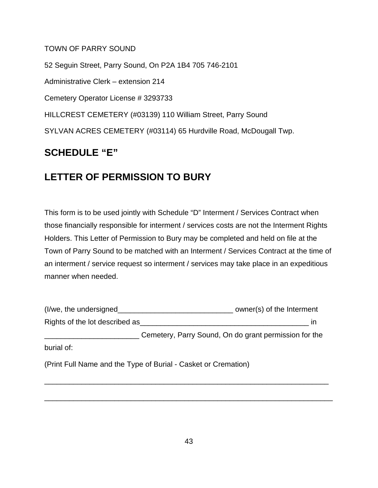#### TOWN OF PARRY SOUND

52 Seguin Street, Parry Sound, On P2A 1B4 705 746-2101 Administrative Clerk – extension 214 Cemetery Operator License # 3293733 HILLCREST CEMETERY (#03139) 110 William Street, Parry Sound SYLVAN ACRES CEMETERY (#03114) 65 Hurdville Road, McDougall Twp.

### **SCHEDULE "E"**

## **LETTER OF PERMISSION TO BURY**

This form is to be used jointly with Schedule "D" Interment / Services Contract when those financially responsible for interment / services costs are not the Interment Rights Holders. This Letter of Permission to Bury may be completed and held on file at the Town of Parry Sound to be matched with an Interment / Services Contract at the time of an interment / service request so interment / services may take place in an expeditious manner when needed.

| (I/we, the undersigned         | owner(s) of the Interment                             |
|--------------------------------|-------------------------------------------------------|
| Rights of the lot described as | ın                                                    |
|                                | Cemetery, Parry Sound, On do grant permission for the |
| burial of:                     |                                                       |

\_\_\_\_\_\_\_\_\_\_\_\_\_\_\_\_\_\_\_\_\_\_\_\_\_\_\_\_\_\_\_\_\_\_\_\_\_\_\_\_\_\_\_\_\_\_\_\_\_\_\_\_\_\_\_\_\_\_\_\_\_\_\_\_\_\_\_\_\_

\_\_\_\_\_\_\_\_\_\_\_\_\_\_\_\_\_\_\_\_\_\_\_\_\_\_\_\_\_\_\_\_\_\_\_\_\_\_\_\_\_\_\_\_\_\_\_\_\_\_\_\_\_\_\_\_\_\_\_\_\_\_\_\_\_\_\_\_\_\_

(Print Full Name and the Type of Burial - Casket or Cremation)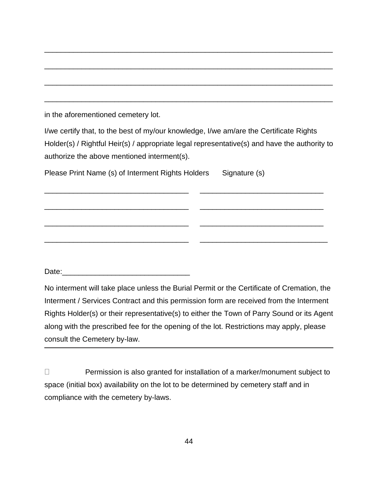| in the aforementioned cemetery lot.                                                          |               |
|----------------------------------------------------------------------------------------------|---------------|
| I/we certify that, to the best of my/our knowledge, I/we am/are the Certificate Rights       |               |
| Holder(s) / Rightful Heir(s) / appropriate legal representative(s) and have the authority to |               |
| authorize the above mentioned interment(s).                                                  |               |
| Please Print Name (s) of Interment Rights Holders                                            | Signature (s) |
|                                                                                              |               |

\_\_\_\_\_\_\_\_\_\_\_\_\_\_\_\_\_\_\_\_\_\_\_\_\_\_\_\_\_\_\_\_\_\_\_ \_\_\_\_\_\_\_\_\_\_\_\_\_\_\_\_\_\_\_\_\_\_\_\_\_\_\_\_\_\_

\_\_\_\_\_\_\_\_\_\_\_\_\_\_\_\_\_\_\_\_\_\_\_\_\_\_\_\_\_\_\_\_\_\_\_ \_\_\_\_\_\_\_\_\_\_\_\_\_\_\_\_\_\_\_\_\_\_\_\_\_\_\_\_\_\_

\_\_\_\_\_\_\_\_\_\_\_\_\_\_\_\_\_\_\_\_\_\_\_\_\_\_\_\_\_\_\_\_\_\_\_ \_\_\_\_\_\_\_\_\_\_\_\_\_\_\_\_\_\_\_\_\_\_\_\_\_\_\_\_\_\_\_

Date:\_\_\_\_\_\_\_\_\_\_\_\_\_\_\_\_\_\_\_\_\_\_\_\_\_\_\_\_\_\_\_

\_\_\_\_\_\_\_\_\_\_\_\_\_\_\_\_\_\_\_\_\_\_\_\_\_\_\_\_\_\_\_\_\_\_\_\_\_\_\_\_\_\_\_\_\_\_\_\_\_\_\_\_\_\_\_\_\_\_\_\_\_\_\_\_\_\_\_\_\_\_

No interment will take place unless the Burial Permit or the Certificate of Cremation, the Interment / Services Contract and this permission form are received from the Interment Rights Holder(s) or their representative(s) to either the Town of Parry Sound or its Agent along with the prescribed fee for the opening of the lot. Restrictions may apply, please consult the Cemetery by-law.

□ Permission is also granted for installation of a marker/monument subject to space (initial box) availability on the lot to be determined by cemetery staff and in compliance with the cemetery by-laws.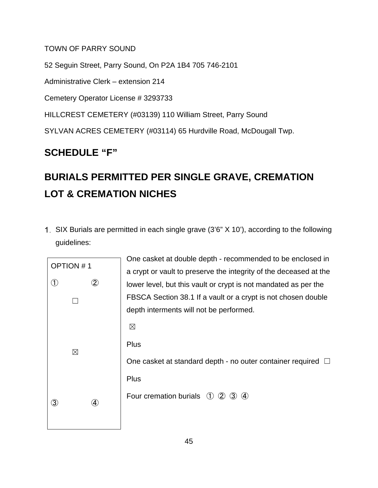### TOWN OF PARRY SOUND

52 Seguin Street, Parry Sound, On P2A 1B4 705 746-2101 Administrative Clerk – extension 214 Cemetery Operator License # 3293733 HILLCREST CEMETERY (#03139) 110 William Street, Parry Sound SYLVAN ACRES CEMETERY (#03114) 65 Hurdville Road, McDougall Twp.

## **SCHEDULE "F"**

# **BURIALS PERMITTED PER SINGLE GRAVE, CREMATION LOT & CREMATION NICHES**

SIX Burials are permitted in each single grave (3'6" X 10'), according to the following guidelines:



One casket at double depth - recommended to be enclosed in a crypt or vault to preserve the integrity of the deceased at the lower level, but this vault or crypt is not mandated as per the FBSCA Section 38.1 If a vault or a crypt is not chosen double depth interments will not be performed.  $\boxtimes$ **Plus** One casket at standard depth - no outer container required  $\Box$ **Plus** Four cremation burials  $(1)$   $(2)$   $(3)$   $(4)$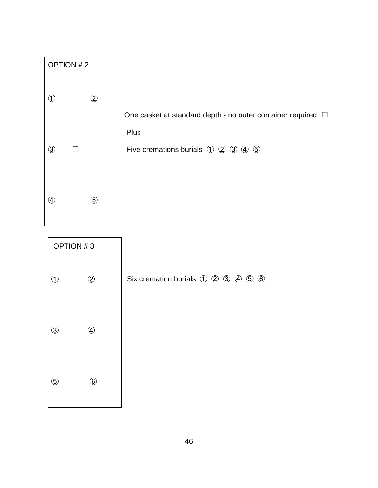